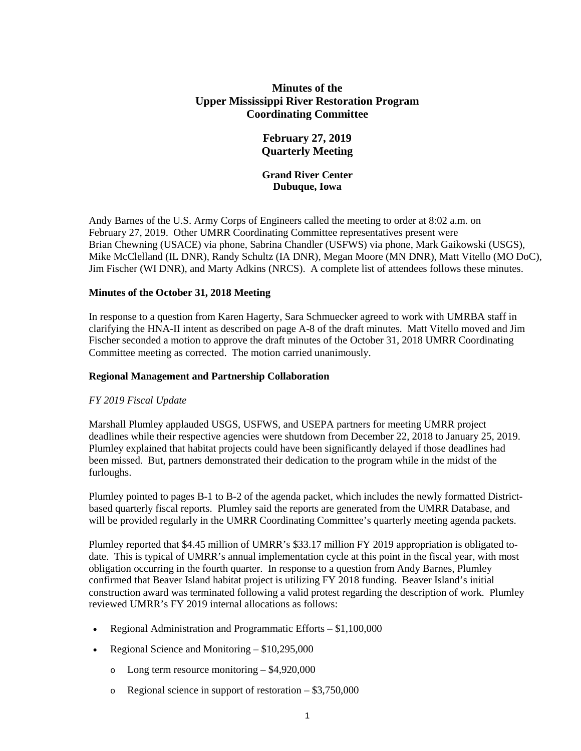# **Minutes of the Upper Mississippi River Restoration Program Coordinating Committee**

# **February 27, 2019 Quarterly Meeting**

## **Grand River Center Dubuque, Iowa**

Andy Barnes of the U.S. Army Corps of Engineers called the meeting to order at 8:02 a.m. on February 27, 2019. Other UMRR Coordinating Committee representatives present were Brian Chewning (USACE) via phone, Sabrina Chandler (USFWS) via phone, Mark Gaikowski (USGS), Mike McClelland (IL DNR), Randy Schultz (IA DNR), Megan Moore (MN DNR), Matt Vitello (MO DoC), Jim Fischer (WI DNR), and Marty Adkins (NRCS). A complete list of attendees follows these minutes.

## **Minutes of the October 31, 2018 Meeting**

In response to a question from Karen Hagerty, Sara Schmuecker agreed to work with UMRBA staff in clarifying the HNA-II intent as described on page A-8 of the draft minutes. Matt Vitello moved and Jim Fischer seconded a motion to approve the draft minutes of the October 31, 2018 UMRR Coordinating Committee meeting as corrected. The motion carried unanimously.

### **Regional Management and Partnership Collaboration**

### *FY 2019 Fiscal Update*

Marshall Plumley applauded USGS, USFWS, and USEPA partners for meeting UMRR project deadlines while their respective agencies were shutdown from December 22, 2018 to January 25, 2019. Plumley explained that habitat projects could have been significantly delayed if those deadlines had been missed. But, partners demonstrated their dedication to the program while in the midst of the furloughs.

Plumley pointed to pages B-1 to B-2 of the agenda packet, which includes the newly formatted Districtbased quarterly fiscal reports. Plumley said the reports are generated from the UMRR Database, and will be provided regularly in the UMRR Coordinating Committee's quarterly meeting agenda packets.

Plumley reported that \$4.45 million of UMRR's \$33.17 million FY 2019 appropriation is obligated todate. This is typical of UMRR's annual implementation cycle at this point in the fiscal year, with most obligation occurring in the fourth quarter. In response to a question from Andy Barnes, Plumley confirmed that Beaver Island habitat project is utilizing FY 2018 funding. Beaver Island's initial construction award was terminated following a valid protest regarding the description of work. Plumley reviewed UMRR's FY 2019 internal allocations as follows:

- Regional Administration and Programmatic Efforts \$1,100,000
- Regional Science and Monitoring \$10,295,000
	- o Long term resource monitoring \$4,920,000
	- o Regional science in support of restoration \$3,750,000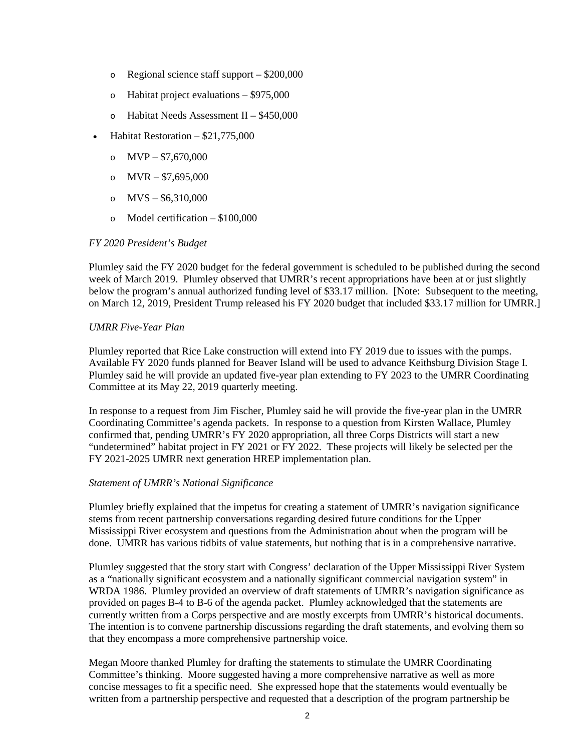- o Regional science staff support \$200,000
- o Habitat project evaluations \$975,000
- o Habitat Needs Assessment II \$450,000
- Habitat Restoration \$21,775,000
	- o  $MVP $7,670,000$
	- o  $MVR $7,695,000$
	- o  $MVS $6,310,000$
	- o Model certification \$100,000

### *FY 2020 President's Budget*

Plumley said the FY 2020 budget for the federal government is scheduled to be published during the second week of March 2019. Plumley observed that UMRR's recent appropriations have been at or just slightly below the program's annual authorized funding level of \$33.17 million. [Note: Subsequent to the meeting, on March 12, 2019, President Trump released his FY 2020 budget that included \$33.17 million for UMRR.]

## *UMRR Five-Year Plan*

Plumley reported that Rice Lake construction will extend into FY 2019 due to issues with the pumps. Available FY 2020 funds planned for Beaver Island will be used to advance Keithsburg Division Stage I. Plumley said he will provide an updated five-year plan extending to FY 2023 to the UMRR Coordinating Committee at its May 22, 2019 quarterly meeting.

In response to a request from Jim Fischer, Plumley said he will provide the five-year plan in the UMRR Coordinating Committee's agenda packets. In response to a question from Kirsten Wallace, Plumley confirmed that, pending UMRR's FY 2020 appropriation, all three Corps Districts will start a new "undetermined" habitat project in FY 2021 or FY 2022. These projects will likely be selected per the FY 2021-2025 UMRR next generation HREP implementation plan.

### *Statement of UMRR's National Significance*

Plumley briefly explained that the impetus for creating a statement of UMRR's navigation significance stems from recent partnership conversations regarding desired future conditions for the Upper Mississippi River ecosystem and questions from the Administration about when the program will be done. UMRR has various tidbits of value statements, but nothing that is in a comprehensive narrative.

Plumley suggested that the story start with Congress' declaration of the Upper Mississippi River System as a "nationally significant ecosystem and a nationally significant commercial navigation system" in WRDA 1986. Plumley provided an overview of draft statements of UMRR's navigation significance as provided on pages B-4 to B-6 of the agenda packet. Plumley acknowledged that the statements are currently written from a Corps perspective and are mostly excerpts from UMRR's historical documents. The intention is to convene partnership discussions regarding the draft statements, and evolving them so that they encompass a more comprehensive partnership voice.

Megan Moore thanked Plumley for drafting the statements to stimulate the UMRR Coordinating Committee's thinking. Moore suggested having a more comprehensive narrative as well as more concise messages to fit a specific need. She expressed hope that the statements would eventually be written from a partnership perspective and requested that a description of the program partnership be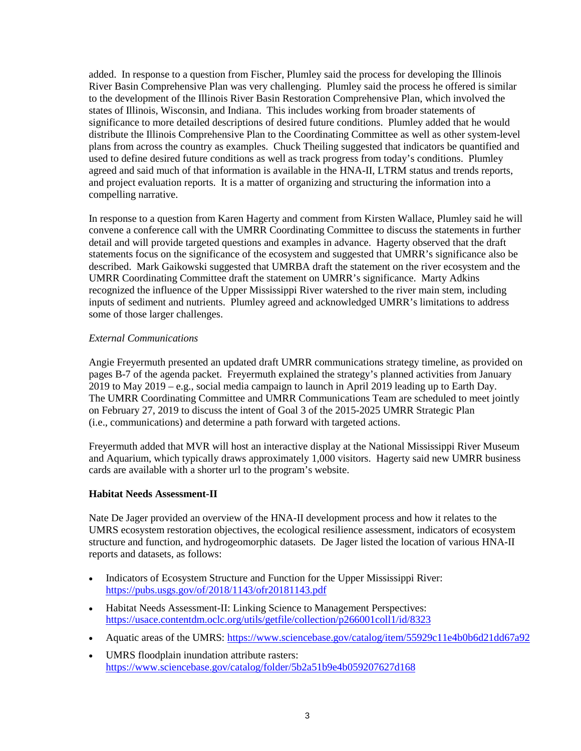added. In response to a question from Fischer, Plumley said the process for developing the Illinois River Basin Comprehensive Plan was very challenging. Plumley said the process he offered is similar to the development of the Illinois River Basin Restoration Comprehensive Plan, which involved the states of Illinois, Wisconsin, and Indiana. This includes working from broader statements of significance to more detailed descriptions of desired future conditions. Plumley added that he would distribute the Illinois Comprehensive Plan to the Coordinating Committee as well as other system-level plans from across the country as examples. Chuck Theiling suggested that indicators be quantified and used to define desired future conditions as well as track progress from today's conditions. Plumley agreed and said much of that information is available in the HNA-II, LTRM status and trends reports, and project evaluation reports. It is a matter of organizing and structuring the information into a compelling narrative.

In response to a question from Karen Hagerty and comment from Kirsten Wallace, Plumley said he will convene a conference call with the UMRR Coordinating Committee to discuss the statements in further detail and will provide targeted questions and examples in advance. Hagerty observed that the draft statements focus on the significance of the ecosystem and suggested that UMRR's significance also be described. Mark Gaikowski suggested that UMRBA draft the statement on the river ecosystem and the UMRR Coordinating Committee draft the statement on UMRR's significance. Marty Adkins recognized the influence of the Upper Mississippi River watershed to the river main stem, including inputs of sediment and nutrients. Plumley agreed and acknowledged UMRR's limitations to address some of those larger challenges.

### *External Communications*

Angie Freyermuth presented an updated draft UMRR communications strategy timeline, as provided on pages B-7 of the agenda packet. Freyermuth explained the strategy's planned activities from January 2019 to May 2019 – e.g., social media campaign to launch in April 2019 leading up to Earth Day. The UMRR Coordinating Committee and UMRR Communications Team are scheduled to meet jointly on February 27, 2019 to discuss the intent of Goal 3 of the 2015-2025 UMRR Strategic Plan (i.e., communications) and determine a path forward with targeted actions.

Freyermuth added that MVR will host an interactive display at the National Mississippi River Museum and Aquarium, which typically draws approximately 1,000 visitors. Hagerty said new UMRR business cards are available with a shorter url to the program's website.

#### **Habitat Needs Assessment-II**

Nate De Jager provided an overview of the HNA-II development process and how it relates to the UMRS ecosystem restoration objectives, the ecological resilience assessment, indicators of ecosystem structure and function, and hydrogeomorphic datasets. De Jager listed the location of various HNA-II reports and datasets, as follows:

- Indicators of Ecosystem Structure and Function for the Upper Mississippi River: <https://pubs.usgs.gov/of/2018/1143/ofr20181143.pdf>
- Habitat Needs Assessment-II: Linking Science to Management Perspectives: <https://usace.contentdm.oclc.org/utils/getfile/collection/p266001coll1/id/8323>
- Aquatic areas of the UMRS:<https://www.sciencebase.gov/catalog/item/55929c11e4b0b6d21dd67a92>
- UMRS floodplain inundation attribute rasters: <https://www.sciencebase.gov/catalog/folder/5b2a51b9e4b059207627d168>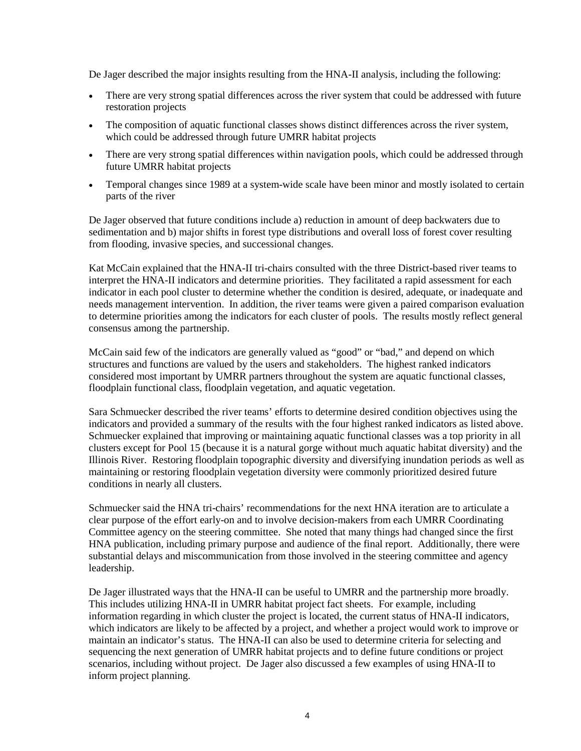De Jager described the major insights resulting from the HNA-II analysis, including the following:

- There are very strong spatial differences across the river system that could be addressed with future restoration projects
- The composition of aquatic functional classes shows distinct differences across the river system, which could be addressed through future UMRR habitat projects
- There are very strong spatial differences within navigation pools, which could be addressed through future UMRR habitat projects
- Temporal changes since 1989 at a system-wide scale have been minor and mostly isolated to certain parts of the river

De Jager observed that future conditions include a) reduction in amount of deep backwaters due to sedimentation and b) major shifts in forest type distributions and overall loss of forest cover resulting from flooding, invasive species, and successional changes.

Kat McCain explained that the HNA-II tri-chairs consulted with the three District-based river teams to interpret the HNA-II indicators and determine priorities. They facilitated a rapid assessment for each indicator in each pool cluster to determine whether the condition is desired, adequate, or inadequate and needs management intervention. In addition, the river teams were given a paired comparison evaluation to determine priorities among the indicators for each cluster of pools. The results mostly reflect general consensus among the partnership.

McCain said few of the indicators are generally valued as "good" or "bad," and depend on which structures and functions are valued by the users and stakeholders. The highest ranked indicators considered most important by UMRR partners throughout the system are aquatic functional classes, floodplain functional class, floodplain vegetation, and aquatic vegetation.

Sara Schmuecker described the river teams' efforts to determine desired condition objectives using the indicators and provided a summary of the results with the four highest ranked indicators as listed above. Schmuecker explained that improving or maintaining aquatic functional classes was a top priority in all clusters except for Pool 15 (because it is a natural gorge without much aquatic habitat diversity) and the Illinois River. Restoring floodplain topographic diversity and diversifying inundation periods as well as maintaining or restoring floodplain vegetation diversity were commonly prioritized desired future conditions in nearly all clusters.

Schmuecker said the HNA tri-chairs' recommendations for the next HNA iteration are to articulate a clear purpose of the effort early-on and to involve decision-makers from each UMRR Coordinating Committee agency on the steering committee. She noted that many things had changed since the first HNA publication, including primary purpose and audience of the final report. Additionally, there were substantial delays and miscommunication from those involved in the steering committee and agency leadership.

De Jager illustrated ways that the HNA-II can be useful to UMRR and the partnership more broadly. This includes utilizing HNA-II in UMRR habitat project fact sheets. For example, including information regarding in which cluster the project is located, the current status of HNA-II indicators, which indicators are likely to be affected by a project, and whether a project would work to improve or maintain an indicator's status. The HNA-II can also be used to determine criteria for selecting and sequencing the next generation of UMRR habitat projects and to define future conditions or project scenarios, including without project. De Jager also discussed a few examples of using HNA-II to inform project planning.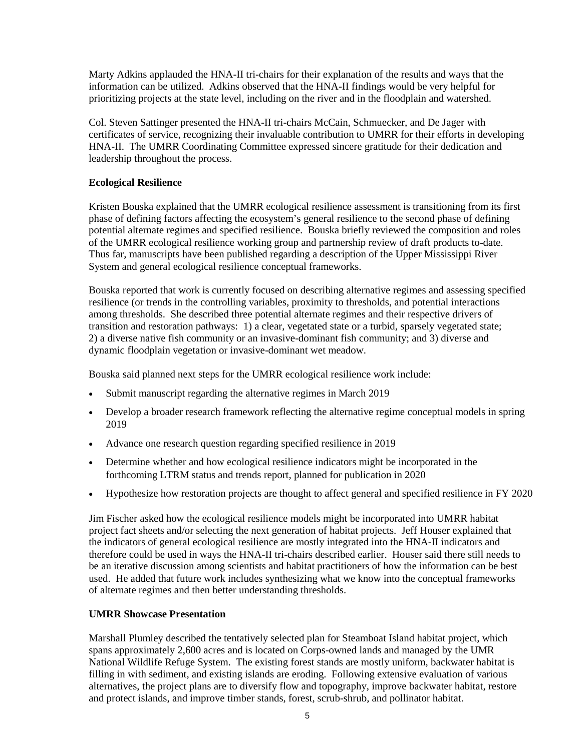Marty Adkins applauded the HNA-II tri-chairs for their explanation of the results and ways that the information can be utilized. Adkins observed that the HNA-II findings would be very helpful for prioritizing projects at the state level, including on the river and in the floodplain and watershed.

Col. Steven Sattinger presented the HNA-II tri-chairs McCain, Schmuecker, and De Jager with certificates of service, recognizing their invaluable contribution to UMRR for their efforts in developing HNA-II. The UMRR Coordinating Committee expressed sincere gratitude for their dedication and leadership throughout the process.

## **Ecological Resilience**

Kristen Bouska explained that the UMRR ecological resilience assessment is transitioning from its first phase of defining factors affecting the ecosystem's general resilience to the second phase of defining potential alternate regimes and specified resilience. Bouska briefly reviewed the composition and roles of the UMRR ecological resilience working group and partnership review of draft products to-date. Thus far, manuscripts have been published regarding a description of the Upper Mississippi River System and general ecological resilience conceptual frameworks.

Bouska reported that work is currently focused on describing alternative regimes and assessing specified resilience (or trends in the controlling variables, proximity to thresholds, and potential interactions among thresholds. She described three potential alternate regimes and their respective drivers of transition and restoration pathways: 1) a clear, vegetated state or a turbid, sparsely vegetated state; 2) a diverse native fish community or an invasive-dominant fish community; and 3) diverse and dynamic floodplain vegetation or invasive-dominant wet meadow.

Bouska said planned next steps for the UMRR ecological resilience work include:

- Submit manuscript regarding the alternative regimes in March 2019
- Develop a broader research framework reflecting the alternative regime conceptual models in spring 2019
- Advance one research question regarding specified resilience in 2019
- Determine whether and how ecological resilience indicators might be incorporated in the forthcoming LTRM status and trends report, planned for publication in 2020
- Hypothesize how restoration projects are thought to affect general and specified resilience in FY 2020

Jim Fischer asked how the ecological resilience models might be incorporated into UMRR habitat project fact sheets and/or selecting the next generation of habitat projects. Jeff Houser explained that the indicators of general ecological resilience are mostly integrated into the HNA-II indicators and therefore could be used in ways the HNA-II tri-chairs described earlier. Houser said there still needs to be an iterative discussion among scientists and habitat practitioners of how the information can be best used. He added that future work includes synthesizing what we know into the conceptual frameworks of alternate regimes and then better understanding thresholds.

### **UMRR Showcase Presentation**

Marshall Plumley described the tentatively selected plan for Steamboat Island habitat project, which spans approximately 2,600 acres and is located on Corps-owned lands and managed by the UMR National Wildlife Refuge System. The existing forest stands are mostly uniform, backwater habitat is filling in with sediment, and existing islands are eroding. Following extensive evaluation of various alternatives, the project plans are to diversify flow and topography, improve backwater habitat, restore and protect islands, and improve timber stands, forest, scrub-shrub, and pollinator habitat.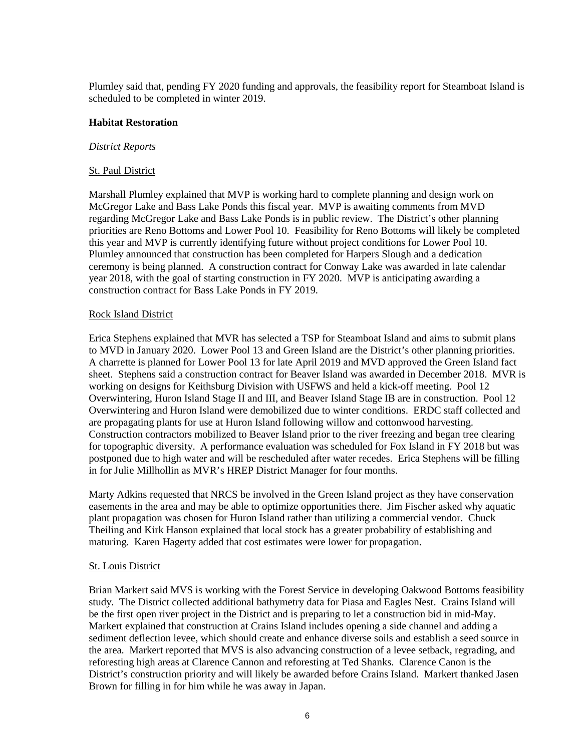Plumley said that, pending FY 2020 funding and approvals, the feasibility report for Steamboat Island is scheduled to be completed in winter 2019.

#### **Habitat Restoration**

#### *District Reports*

#### St. Paul District

Marshall Plumley explained that MVP is working hard to complete planning and design work on McGregor Lake and Bass Lake Ponds this fiscal year. MVP is awaiting comments from MVD regarding McGregor Lake and Bass Lake Ponds is in public review. The District's other planning priorities are Reno Bottoms and Lower Pool 10. Feasibility for Reno Bottoms will likely be completed this year and MVP is currently identifying future without project conditions for Lower Pool 10. Plumley announced that construction has been completed for Harpers Slough and a dedication ceremony is being planned. A construction contract for Conway Lake was awarded in late calendar year 2018, with the goal of starting construction in FY 2020. MVP is anticipating awarding a construction contract for Bass Lake Ponds in FY 2019.

#### Rock Island District

Erica Stephens explained that MVR has selected a TSP for Steamboat Island and aims to submit plans to MVD in January 2020. Lower Pool 13 and Green Island are the District's other planning priorities. A charrette is planned for Lower Pool 13 for late April 2019 and MVD approved the Green Island fact sheet. Stephens said a construction contract for Beaver Island was awarded in December 2018. MVR is working on designs for Keithsburg Division with USFWS and held a kick-off meeting. Pool 12 Overwintering, Huron Island Stage II and III, and Beaver Island Stage IB are in construction. Pool 12 Overwintering and Huron Island were demobilized due to winter conditions. ERDC staff collected and are propagating plants for use at Huron Island following willow and cottonwood harvesting. Construction contractors mobilized to Beaver Island prior to the river freezing and began tree clearing for topographic diversity. A performance evaluation was scheduled for Fox Island in FY 2018 but was postponed due to high water and will be rescheduled after water recedes. Erica Stephens will be filling in for Julie Millhollin as MVR's HREP District Manager for four months.

Marty Adkins requested that NRCS be involved in the Green Island project as they have conservation easements in the area and may be able to optimize opportunities there. Jim Fischer asked why aquatic plant propagation was chosen for Huron Island rather than utilizing a commercial vendor. Chuck Theiling and Kirk Hanson explained that local stock has a greater probability of establishing and maturing. Karen Hagerty added that cost estimates were lower for propagation.

#### St. Louis District

Brian Markert said MVS is working with the Forest Service in developing Oakwood Bottoms feasibility study. The District collected additional bathymetry data for Piasa and Eagles Nest. Crains Island will be the first open river project in the District and is preparing to let a construction bid in mid-May. Markert explained that construction at Crains Island includes opening a side channel and adding a sediment deflection levee, which should create and enhance diverse soils and establish a seed source in the area. Markert reported that MVS is also advancing construction of a levee setback, regrading, and reforesting high areas at Clarence Cannon and reforesting at Ted Shanks. Clarence Canon is the District's construction priority and will likely be awarded before Crains Island. Markert thanked Jasen Brown for filling in for him while he was away in Japan.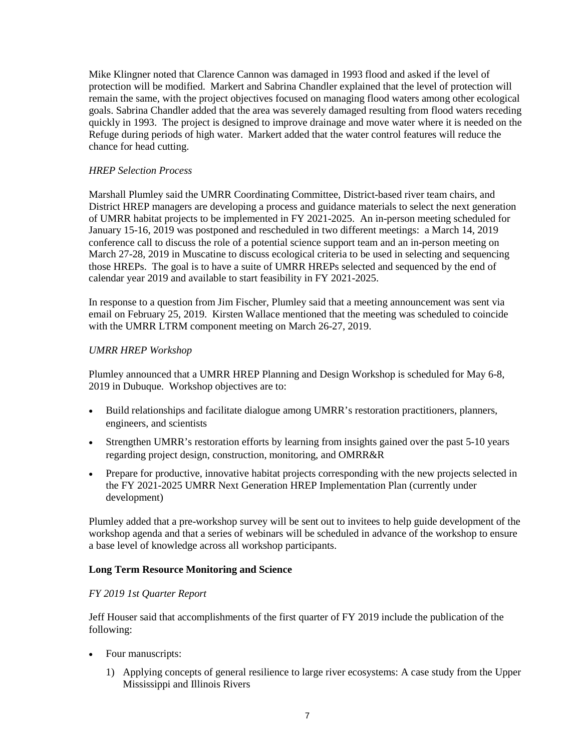Mike Klingner noted that Clarence Cannon was damaged in 1993 flood and asked if the level of protection will be modified. Markert and Sabrina Chandler explained that the level of protection will remain the same, with the project objectives focused on managing flood waters among other ecological goals. Sabrina Chandler added that the area was severely damaged resulting from flood waters receding quickly in 1993. The project is designed to improve drainage and move water where it is needed on the Refuge during periods of high water. Markert added that the water control features will reduce the chance for head cutting.

## *HREP Selection Process*

Marshall Plumley said the UMRR Coordinating Committee, District-based river team chairs, and District HREP managers are developing a process and guidance materials to select the next generation of UMRR habitat projects to be implemented in FY 2021-2025. An in-person meeting scheduled for January 15-16, 2019 was postponed and rescheduled in two different meetings: a March 14, 2019 conference call to discuss the role of a potential science support team and an in-person meeting on March 27-28, 2019 in Muscatine to discuss ecological criteria to be used in selecting and sequencing those HREPs. The goal is to have a suite of UMRR HREPs selected and sequenced by the end of calendar year 2019 and available to start feasibility in FY 2021-2025.

In response to a question from Jim Fischer, Plumley said that a meeting announcement was sent via email on February 25, 2019. Kirsten Wallace mentioned that the meeting was scheduled to coincide with the UMRR LTRM component meeting on March 26-27, 2019.

## *UMRR HREP Workshop*

Plumley announced that a UMRR HREP Planning and Design Workshop is scheduled for May 6-8, 2019 in Dubuque. Workshop objectives are to:

- Build relationships and facilitate dialogue among UMRR's restoration practitioners, planners, engineers, and scientists
- Strengthen UMRR's restoration efforts by learning from insights gained over the past 5-10 years regarding project design, construction, monitoring, and OMRR&R
- Prepare for productive, innovative habitat projects corresponding with the new projects selected in the FY 2021-2025 UMRR Next Generation HREP Implementation Plan (currently under development)

Plumley added that a pre-workshop survey will be sent out to invitees to help guide development of the workshop agenda and that a series of webinars will be scheduled in advance of the workshop to ensure a base level of knowledge across all workshop participants.

### **Long Term Resource Monitoring and Science**

### *FY 2019 1st Quarter Report*

Jeff Houser said that accomplishments of the first quarter of FY 2019 include the publication of the following:

- Four manuscripts:
	- 1) Applying concepts of general resilience to large river ecosystems: A case study from the Upper Mississippi and Illinois Rivers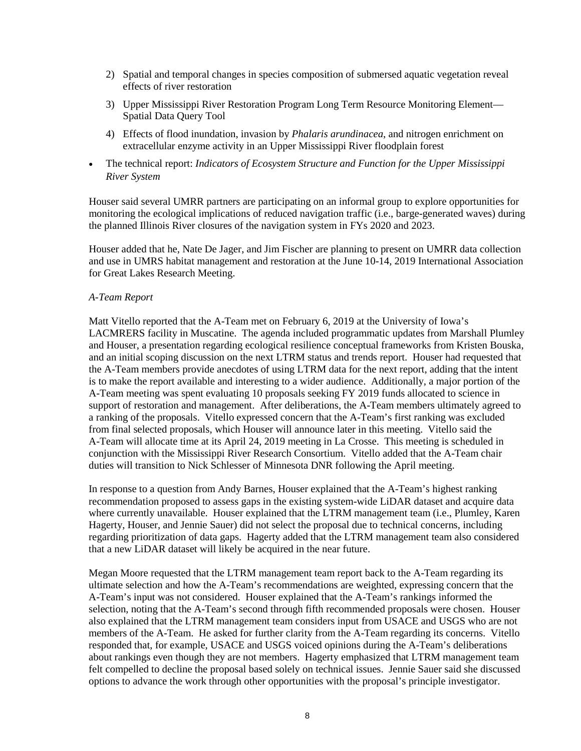- 2) Spatial and temporal changes in species composition of submersed aquatic vegetation reveal effects of river restoration
- 3) Upper Mississippi River Restoration Program Long Term Resource Monitoring Element— Spatial Data Query Tool
- 4) Effects of flood inundation, invasion by *Phalaris arundinacea*, and nitrogen enrichment on extracellular enzyme activity in an Upper Mississippi River floodplain forest
- The technical report: *Indicators of Ecosystem Structure and Function for the Upper Mississippi River System*

Houser said several UMRR partners are participating on an informal group to explore opportunities for monitoring the ecological implications of reduced navigation traffic (i.e., barge-generated waves) during the planned Illinois River closures of the navigation system in FYs 2020 and 2023.

Houser added that he, Nate De Jager, and Jim Fischer are planning to present on UMRR data collection and use in UMRS habitat management and restoration at the June 10-14, 2019 International Association for Great Lakes Research Meeting.

#### *A-Team Report*

Matt Vitello reported that the A-Team met on February 6, 2019 at the University of Iowa's LACMRERS facility in Muscatine. The agenda included programmatic updates from Marshall Plumley and Houser, a presentation regarding ecological resilience conceptual frameworks from Kristen Bouska, and an initial scoping discussion on the next LTRM status and trends report. Houser had requested that the A-Team members provide anecdotes of using LTRM data for the next report, adding that the intent is to make the report available and interesting to a wider audience. Additionally, a major portion of the A-Team meeting was spent evaluating 10 proposals seeking FY 2019 funds allocated to science in support of restoration and management. After deliberations, the A-Team members ultimately agreed to a ranking of the proposals. Vitello expressed concern that the A-Team's first ranking was excluded from final selected proposals, which Houser will announce later in this meeting. Vitello said the A-Team will allocate time at its April 24, 2019 meeting in La Crosse. This meeting is scheduled in conjunction with the Mississippi River Research Consortium. Vitello added that the A-Team chair duties will transition to Nick Schlesser of Minnesota DNR following the April meeting.

In response to a question from Andy Barnes, Houser explained that the A-Team's highest ranking recommendation proposed to assess gaps in the existing system-wide LiDAR dataset and acquire data where currently unavailable. Houser explained that the LTRM management team (i.e., Plumley, Karen Hagerty, Houser, and Jennie Sauer) did not select the proposal due to technical concerns, including regarding prioritization of data gaps. Hagerty added that the LTRM management team also considered that a new LiDAR dataset will likely be acquired in the near future.

Megan Moore requested that the LTRM management team report back to the A-Team regarding its ultimate selection and how the A-Team's recommendations are weighted, expressing concern that the A-Team's input was not considered. Houser explained that the A-Team's rankings informed the selection, noting that the A-Team's second through fifth recommended proposals were chosen. Houser also explained that the LTRM management team considers input from USACE and USGS who are not members of the A-Team. He asked for further clarity from the A-Team regarding its concerns. Vitello responded that, for example, USACE and USGS voiced opinions during the A-Team's deliberations about rankings even though they are not members. Hagerty emphasized that LTRM management team felt compelled to decline the proposal based solely on technical issues. Jennie Sauer said she discussed options to advance the work through other opportunities with the proposal's principle investigator.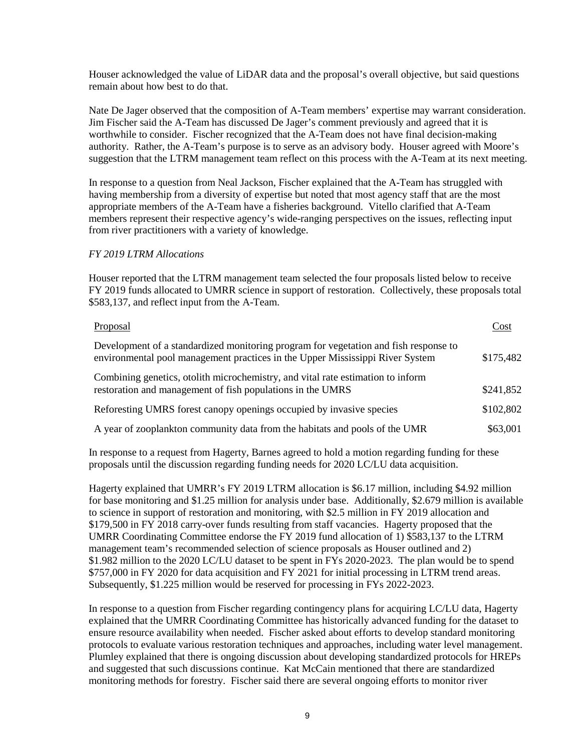Houser acknowledged the value of LiDAR data and the proposal's overall objective, but said questions remain about how best to do that.

Nate De Jager observed that the composition of A-Team members' expertise may warrant consideration. Jim Fischer said the A-Team has discussed De Jager's comment previously and agreed that it is worthwhile to consider. Fischer recognized that the A-Team does not have final decision-making authority. Rather, the A-Team's purpose is to serve as an advisory body. Houser agreed with Moore's suggestion that the LTRM management team reflect on this process with the A-Team at its next meeting.

In response to a question from Neal Jackson, Fischer explained that the A-Team has struggled with having membership from a diversity of expertise but noted that most agency staff that are the most appropriate members of the A-Team have a fisheries background. Vitello clarified that A-Team members represent their respective agency's wide-ranging perspectives on the issues, reflecting input from river practitioners with a variety of knowledge.

#### *FY 2019 LTRM Allocations*

Houser reported that the LTRM management team selected the four proposals listed below to receive FY 2019 funds allocated to UMRR science in support of restoration. Collectively, these proposals total \$583,137, and reflect input from the A-Team.

| Proposal                                                                                                                                                              | Cost      |
|-----------------------------------------------------------------------------------------------------------------------------------------------------------------------|-----------|
| Development of a standardized monitoring program for vegetation and fish response to<br>environmental pool management practices in the Upper Mississippi River System | \$175,482 |
| Combining genetics, otolith microchemistry, and vital rate estimation to inform<br>restoration and management of fish populations in the UMRS                         | \$241,852 |
| Reforesting UMRS forest canopy openings occupied by invasive species                                                                                                  | \$102,802 |
| A year of zooplankton community data from the habitats and pools of the UMR                                                                                           | \$63,001  |

In response to a request from Hagerty, Barnes agreed to hold a motion regarding funding for these proposals until the discussion regarding funding needs for 2020 LC/LU data acquisition.

Hagerty explained that UMRR's FY 2019 LTRM allocation is \$6.17 million, including \$4.92 million for base monitoring and \$1.25 million for analysis under base. Additionally, \$2.679 million is available to science in support of restoration and monitoring, with \$2.5 million in FY 2019 allocation and \$179,500 in FY 2018 carry-over funds resulting from staff vacancies. Hagerty proposed that the UMRR Coordinating Committee endorse the FY 2019 fund allocation of 1) \$583,137 to the LTRM management team's recommended selection of science proposals as Houser outlined and 2) \$1.982 million to the 2020 LC/LU dataset to be spent in FYs 2020-2023. The plan would be to spend \$757,000 in FY 2020 for data acquisition and FY 2021 for initial processing in LTRM trend areas. Subsequently, \$1.225 million would be reserved for processing in FYs 2022-2023.

In response to a question from Fischer regarding contingency plans for acquiring LC/LU data, Hagerty explained that the UMRR Coordinating Committee has historically advanced funding for the dataset to ensure resource availability when needed. Fischer asked about efforts to develop standard monitoring protocols to evaluate various restoration techniques and approaches, including water level management. Plumley explained that there is ongoing discussion about developing standardized protocols for HREPs and suggested that such discussions continue. Kat McCain mentioned that there are standardized monitoring methods for forestry. Fischer said there are several ongoing efforts to monitor river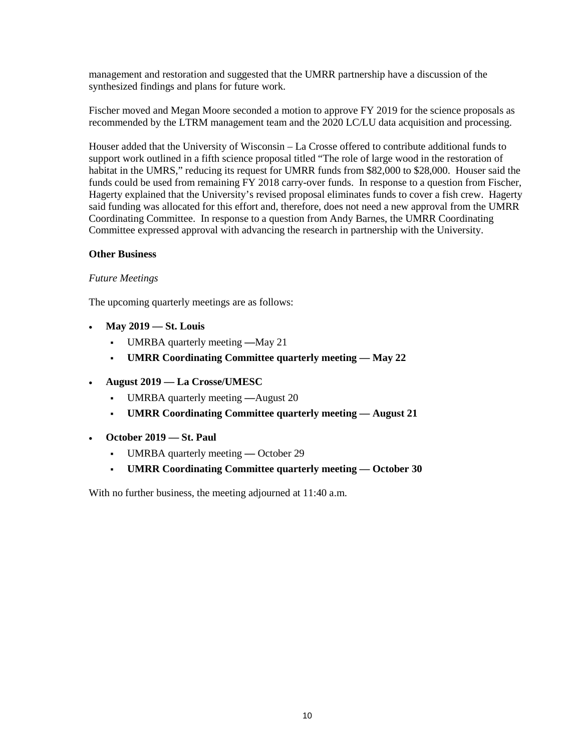management and restoration and suggested that the UMRR partnership have a discussion of the synthesized findings and plans for future work.

Fischer moved and Megan Moore seconded a motion to approve FY 2019 for the science proposals as recommended by the LTRM management team and the 2020 LC/LU data acquisition and processing.

Houser added that the University of Wisconsin – La Crosse offered to contribute additional funds to support work outlined in a fifth science proposal titled "The role of large wood in the restoration of habitat in the UMRS," reducing its request for UMRR funds from \$82,000 to \$28,000. Houser said the funds could be used from remaining FY 2018 carry-over funds. In response to a question from Fischer, Hagerty explained that the University's revised proposal eliminates funds to cover a fish crew. Hagerty said funding was allocated for this effort and, therefore, does not need a new approval from the UMRR Coordinating Committee. In response to a question from Andy Barnes, the UMRR Coordinating Committee expressed approval with advancing the research in partnership with the University.

### **Other Business**

### *Future Meetings*

The upcoming quarterly meetings are as follows:

- **May 2019 — St. Louis**
	- UMRBA quarterly meeting **—**May 21
	- **UMRR Coordinating Committee quarterly meeting — May 22**
- **August 2019 — La Crosse/UMESC**
	- UMRBA quarterly meeting **—**August 20
	- **UMRR Coordinating Committee quarterly meeting — August 21**
- **October 2019 — St. Paul**
	- UMRBA quarterly meeting **—** October 29
	- **UMRR Coordinating Committee quarterly meeting — October 30**

With no further business, the meeting adjourned at 11:40 a.m.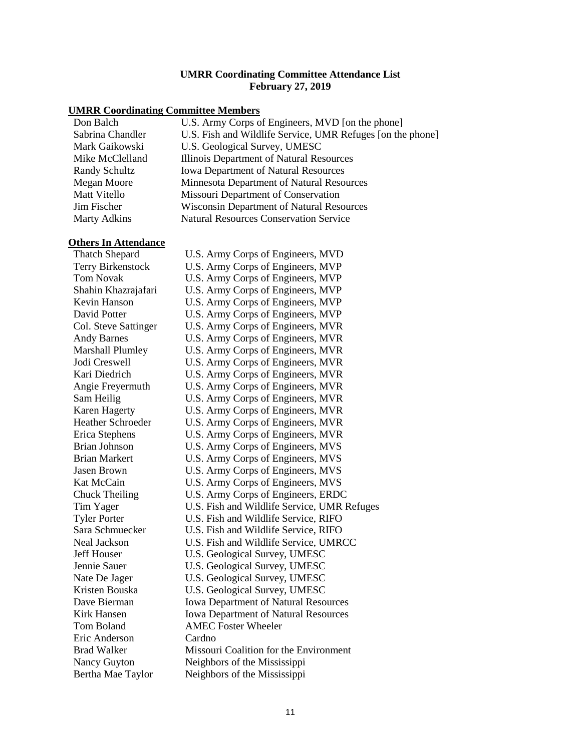#### **UMRR Coordinating Committee Attendance List February 27, 2019**

# **UMRR Coordinating Committee Members**

| Don Balch           | U.S. Army Corps of Engineers, MVD [on the phone]           |
|---------------------|------------------------------------------------------------|
| Sabrina Chandler    | U.S. Fish and Wildlife Service, UMR Refuges [on the phone] |
| Mark Gaikowski      | U.S. Geological Survey, UMESC                              |
| Mike McClelland     | Illinois Department of Natural Resources                   |
| Randy Schultz       | <b>Iowa Department of Natural Resources</b>                |
| Megan Moore         | Minnesota Department of Natural Resources                  |
| <b>Matt Vitello</b> | Missouri Department of Conservation                        |
| Jim Fischer         | Wisconsin Department of Natural Resources                  |
| <b>Marty Adkins</b> | <b>Natural Resources Conservation Service</b>              |
|                     |                                                            |

| <b>Others In Attendance</b> |                                             |
|-----------------------------|---------------------------------------------|
| <b>Thatch Shepard</b>       | U.S. Army Corps of Engineers, MVD           |
| Terry Birkenstock           | U.S. Army Corps of Engineers, MVP           |
| <b>Tom Novak</b>            | U.S. Army Corps of Engineers, MVP           |
| Shahin Khazrajafari         | U.S. Army Corps of Engineers, MVP           |
| Kevin Hanson                | U.S. Army Corps of Engineers, MVP           |
| David Potter                | U.S. Army Corps of Engineers, MVP           |
| Col. Steve Sattinger        | U.S. Army Corps of Engineers, MVR           |
| <b>Andy Barnes</b>          | U.S. Army Corps of Engineers, MVR           |
| <b>Marshall Plumley</b>     | U.S. Army Corps of Engineers, MVR           |
| Jodi Creswell               | U.S. Army Corps of Engineers, MVR           |
| Kari Diedrich               | U.S. Army Corps of Engineers, MVR           |
| Angie Freyermuth            | U.S. Army Corps of Engineers, MVR           |
| Sam Heilig                  | U.S. Army Corps of Engineers, MVR           |
| <b>Karen Hagerty</b>        | U.S. Army Corps of Engineers, MVR           |
| <b>Heather Schroeder</b>    | U.S. Army Corps of Engineers, MVR           |
| Erica Stephens              | U.S. Army Corps of Engineers, MVR           |
| <b>Brian Johnson</b>        | U.S. Army Corps of Engineers, MVS           |
| <b>Brian Markert</b>        | U.S. Army Corps of Engineers, MVS           |
| <b>Jasen Brown</b>          | U.S. Army Corps of Engineers, MVS           |
| Kat McCain                  | U.S. Army Corps of Engineers, MVS           |
| <b>Chuck Theiling</b>       | U.S. Army Corps of Engineers, ERDC          |
| Tim Yager                   | U.S. Fish and Wildlife Service, UMR Refuges |
| <b>Tyler Porter</b>         | U.S. Fish and Wildlife Service, RIFO        |
| Sara Schmuecker             | U.S. Fish and Wildlife Service, RIFO        |
| <b>Neal Jackson</b>         | U.S. Fish and Wildlife Service, UMRCC       |
| <b>Jeff Houser</b>          | U.S. Geological Survey, UMESC               |
| Jennie Sauer                | U.S. Geological Survey, UMESC               |
| Nate De Jager               | U.S. Geological Survey, UMESC               |
| Kristen Bouska              | U.S. Geological Survey, UMESC               |
| Dave Bierman                | <b>Iowa Department of Natural Resources</b> |
| Kirk Hansen                 | <b>Iowa Department of Natural Resources</b> |
| <b>Tom Boland</b>           | <b>AMEC Foster Wheeler</b>                  |
| Eric Anderson               | Cardno                                      |
| <b>Brad Walker</b>          | Missouri Coalition for the Environment      |
| Nancy Guyton                | Neighbors of the Mississippi                |
| Bertha Mae Taylor           | Neighbors of the Mississippi                |